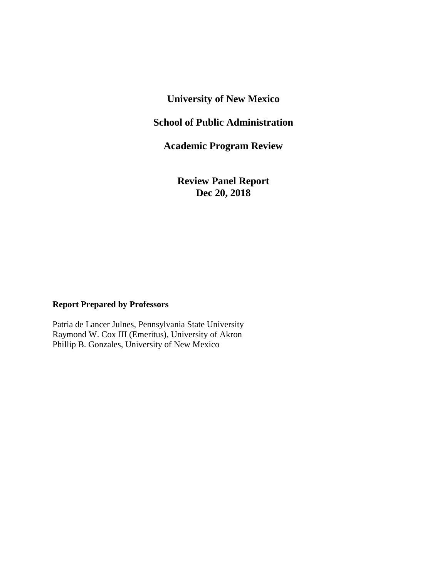### **University of New Mexico**

### **School of Public Administration**

**Academic Program Review**

**Review Panel Report Dec 20, 2018**

### **Report Prepared by Professors**

Patria de Lancer Julnes, Pennsylvania State University Raymond W. Cox III (Emeritus), University of Akron Phillip B. Gonzales, University of New Mexico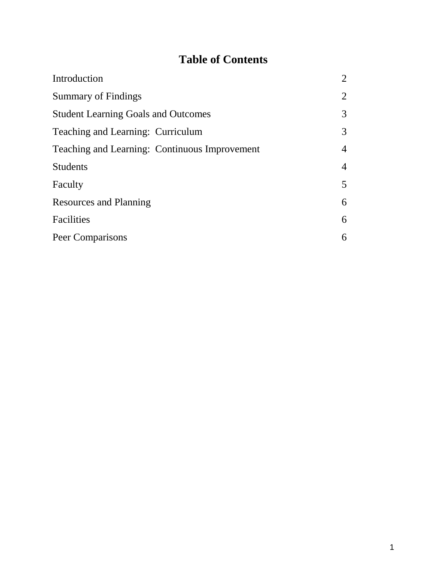# **Table of Contents**

| Introduction                                  | 2              |
|-----------------------------------------------|----------------|
| <b>Summary of Findings</b>                    | $\overline{2}$ |
| <b>Student Learning Goals and Outcomes</b>    | 3              |
| Teaching and Learning: Curriculum             | $\overline{3}$ |
| Teaching and Learning: Continuous Improvement | $\overline{4}$ |
| <b>Students</b>                               | $\overline{4}$ |
| Faculty                                       | 5              |
| <b>Resources and Planning</b>                 | 6              |
| Facilities                                    | 6              |
| Peer Comparisons                              | 6              |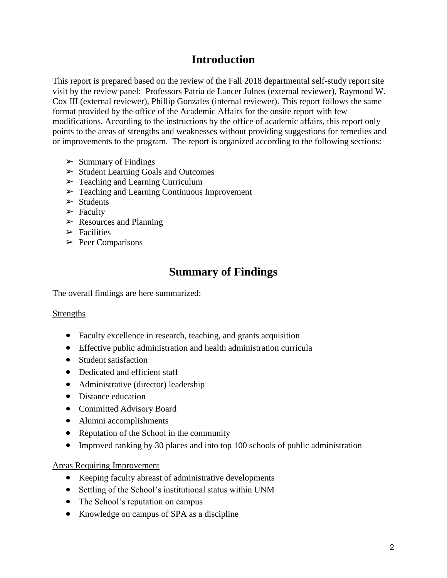## **Introduction**

This report is prepared based on the review of the Fall 2018 departmental self-study report site visit by the review panel: Professors Patria de Lancer Julnes (external reviewer), Raymond W. Cox III (external reviewer), Phillip Gonzales (internal reviewer). This report follows the same format provided by the office of the Academic Affairs for the onsite report with few modifications. According to the instructions by the office of academic affairs, this report only points to the areas of strengths and weaknesses without providing suggestions for remedies and or improvements to the program. The report is organized according to the following sections:

- $\triangleright$  Summary of Findings
- ➢ Student Learning Goals and Outcomes
- ➢ Teaching and Learning Curriculum
- ➢ Teaching and Learning Continuous Improvement
- $\triangleright$  Students
- $\blacktriangleright$  Faculty
- $\triangleright$  Resources and Planning
- $\triangleright$  Facilities
- $\triangleright$  Peer Comparisons

## **Summary of Findings**

The overall findings are here summarized:

### Strengths

- Faculty excellence in research, teaching, and grants acquisition
- Effective public administration and health administration curricula
- Student satisfaction
- Dedicated and efficient staff
- Administrative (director) leadership
- Distance education
- Committed Advisory Board
- Alumni accomplishments
- Reputation of the School in the community
- Improved ranking by 30 places and into top 100 schools of public administration

### Areas Requiring Improvement

- Keeping faculty abreast of administrative developments
- Settling of the School's institutional status within UNM
- The School's reputation on campus
- Knowledge on campus of SPA as a discipline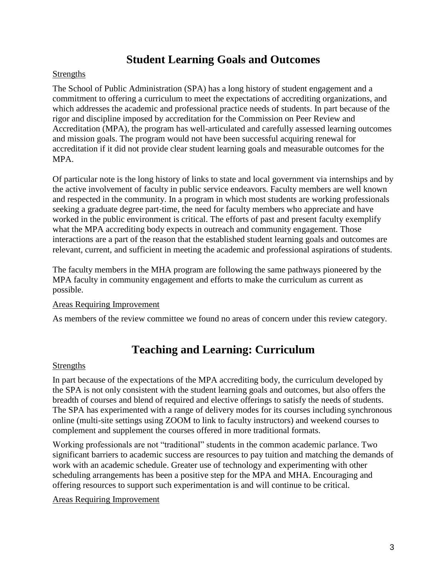## **Student Learning Goals and Outcomes**

### **Strengths**

The School of Public Administration (SPA) has a long history of student engagement and a commitment to offering a curriculum to meet the expectations of accrediting organizations, and which addresses the academic and professional practice needs of students. In part because of the rigor and discipline imposed by accreditation for the Commission on Peer Review and Accreditation (MPA), the program has well-articulated and carefully assessed learning outcomes and mission goals. The program would not have been successful acquiring renewal for accreditation if it did not provide clear student learning goals and measurable outcomes for the MPA.

Of particular note is the long history of links to state and local government via internships and by the active involvement of faculty in public service endeavors. Faculty members are well known and respected in the community. In a program in which most students are working professionals seeking a graduate degree part-time, the need for faculty members who appreciate and have worked in the public environment is critical. The efforts of past and present faculty exemplify what the MPA accrediting body expects in outreach and community engagement. Those interactions are a part of the reason that the established student learning goals and outcomes are relevant, current, and sufficient in meeting the academic and professional aspirations of students.

The faculty members in the MHA program are following the same pathways pioneered by the MPA faculty in community engagement and efforts to make the curriculum as current as possible.

### Areas Requiring Improvement

As members of the review committee we found no areas of concern under this review category.

## **Teaching and Learning: Curriculum**

### **Strengths**

In part because of the expectations of the MPA accrediting body, the curriculum developed by the SPA is not only consistent with the student learning goals and outcomes, but also offers the breadth of courses and blend of required and elective offerings to satisfy the needs of students. The SPA has experimented with a range of delivery modes for its courses including synchronous online (multi-site settings using ZOOM to link to faculty instructors) and weekend courses to complement and supplement the courses offered in more traditional formats.

Working professionals are not "traditional" students in the common academic parlance. Two significant barriers to academic success are resources to pay tuition and matching the demands of work with an academic schedule. Greater use of technology and experimenting with other scheduling arrangements has been a positive step for the MPA and MHA. Encouraging and offering resources to support such experimentation is and will continue to be critical.

### Areas Requiring Improvement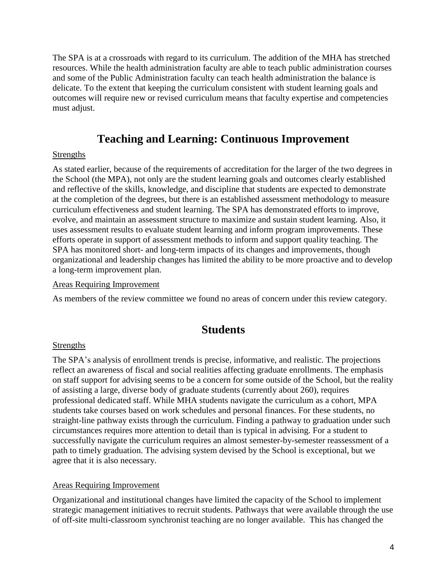The SPA is at a crossroads with regard to its curriculum. The addition of the MHA has stretched resources. While the health administration faculty are able to teach public administration courses and some of the Public Administration faculty can teach health administration the balance is delicate. To the extent that keeping the curriculum consistent with student learning goals and outcomes will require new or revised curriculum means that faculty expertise and competencies must adjust.

### **Teaching and Learning: Continuous Improvement**

### Strengths

As stated earlier, because of the requirements of accreditation for the larger of the two degrees in the School (the MPA), not only are the student learning goals and outcomes clearly established and reflective of the skills, knowledge, and discipline that students are expected to demonstrate at the completion of the degrees, but there is an established assessment methodology to measure curriculum effectiveness and student learning. The SPA has demonstrated efforts to improve, evolve, and maintain an assessment structure to maximize and sustain student learning. Also, it uses assessment results to evaluate student learning and inform program improvements. These efforts operate in support of assessment methods to inform and support quality teaching. The SPA has monitored short- and long-term impacts of its changes and improvements, though organizational and leadership changes has limited the ability to be more proactive and to develop a long-term improvement plan.

### Areas Requiring Improvement

As members of the review committee we found no areas of concern under this review category.

### **Students**

### Strengths

The SPA's analysis of enrollment trends is precise, informative, and realistic. The projections reflect an awareness of fiscal and social realities affecting graduate enrollments. The emphasis on staff support for advising seems to be a concern for some outside of the School, but the reality of assisting a large, diverse body of graduate students (currently about 260), requires professional dedicated staff. While MHA students navigate the curriculum as a cohort, MPA students take courses based on work schedules and personal finances. For these students, no straight-line pathway exists through the curriculum. Finding a pathway to graduation under such circumstances requires more attention to detail than is typical in advising. For a student to successfully navigate the curriculum requires an almost semester-by-semester reassessment of a path to timely graduation. The advising system devised by the School is exceptional, but we agree that it is also necessary.

### Areas Requiring Improvement

Organizational and institutional changes have limited the capacity of the School to implement strategic management initiatives to recruit students. Pathways that were available through the use of off-site multi-classroom synchronist teaching are no longer available. This has changed the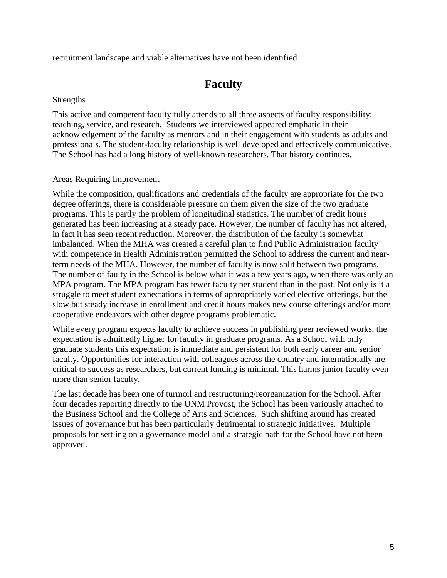recruitment landscape and viable alternatives have not been identified.

## **Faculty**

### **Strengths**

This active and competent faculty fully attends to all three aspects of faculty responsibility: teaching, service, and research. Students we interviewed appeared emphatic in their acknowledgement of the faculty as mentors and in their engagement with students as adults and professionals. The student-faculty relationship is well developed and effectively communicative. The School has had a long history of well-known researchers. That history continues.

### Areas Requiring Improvement

While the composition, qualifications and credentials of the faculty are appropriate for the two degree offerings, there is considerable pressure on them given the size of the two graduate programs. This is partly the problem of longitudinal statistics. The number of credit hours generated has been increasing at a steady pace. However, the number of faculty has not altered, in fact it has seen recent reduction. Moreover, the distribution of the faculty is somewhat imbalanced. When the MHA was created a careful plan to find Public Administration faculty with competence in Health Administration permitted the School to address the current and nearterm needs of the MHA. However, the number of faculty is now split between two programs. The number of faulty in the School is below what it was a few years ago, when there was only an MPA program. The MPA program has fewer faculty per student than in the past. Not only is it a struggle to meet student expectations in terms of appropriately varied elective offerings, but the slow but steady increase in enrollment and credit hours makes new course offerings and/or more cooperative endeavors with other degree programs problematic.

While every program expects faculty to achieve success in publishing peer reviewed works, the expectation is admittedly higher for faculty in graduate programs. As a School with only graduate students this expectation is immediate and persistent for both early career and senior faculty. Opportunities for interaction with colleagues across the country and internationally are critical to success as researchers, but current funding is minimal. This harms junior faculty even more than senior faculty.

The last decade has been one of turmoil and restructuring/reorganization for the School. After four decades reporting directly to the UNM Provost, the School has been variously attached to the Business School and the College of Arts and Sciences. Such shifting around has created issues of governance but has been particularly detrimental to strategic initiatives. Multiple proposals for settling on a governance model and a strategic path for the School have not been approved.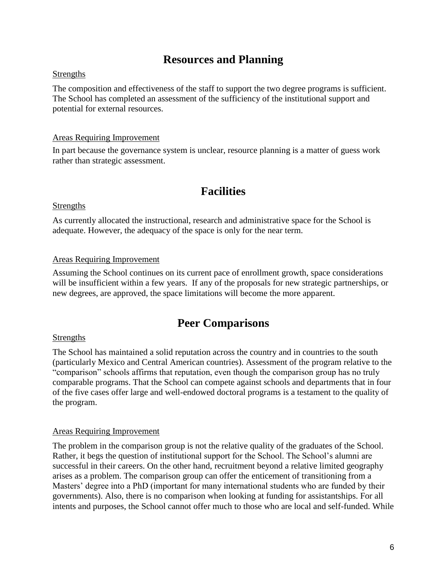## **Resources and Planning**

### **Strengths**

The composition and effectiveness of the staff to support the two degree programs is sufficient. The School has completed an assessment of the sufficiency of the institutional support and potential for external resources.

### Areas Requiring Improvement

In part because the governance system is unclear, resource planning is a matter of guess work rather than strategic assessment.

## **Facilities**

### Strengths

As currently allocated the instructional, research and administrative space for the School is adequate. However, the adequacy of the space is only for the near term.

### Areas Requiring Improvement

Assuming the School continues on its current pace of enrollment growth, space considerations will be insufficient within a few years. If any of the proposals for new strategic partnerships, or new degrees, are approved, the space limitations will become the more apparent.

### **Peer Comparisons**

### **Strengths**

The School has maintained a solid reputation across the country and in countries to the south (particularly Mexico and Central American countries). Assessment of the program relative to the "comparison" schools affirms that reputation, even though the comparison group has no truly comparable programs. That the School can compete against schools and departments that in four of the five cases offer large and well-endowed doctoral programs is a testament to the quality of the program.

### Areas Requiring Improvement

The problem in the comparison group is not the relative quality of the graduates of the School. Rather, it begs the question of institutional support for the School. The School's alumni are successful in their careers. On the other hand, recruitment beyond a relative limited geography arises as a problem. The comparison group can offer the enticement of transitioning from a Masters' degree into a PhD (important for many international students who are funded by their governments). Also, there is no comparison when looking at funding for assistantships. For all intents and purposes, the School cannot offer much to those who are local and self-funded. While